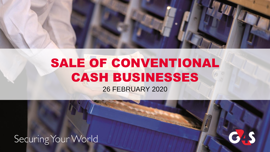

26 FEBRUARY 2020

Securing Your World

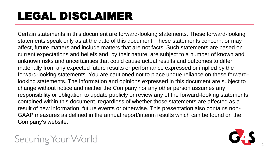## LEGAL DISCLAIMER

Certain statements in this document are forward-looking statements. These forward-looking statements speak only as at the date of this document. These statements concern, or may affect, future matters and include matters that are not facts. Such statements are based on current expectations and beliefs and, by their nature, are subject to a number of known and unknown risks and uncertainties that could cause actual results and outcomes to differ materially from any expected future results or performance expressed or implied by the forward-looking statements. You are cautioned not to place undue reliance on these forwardlooking statements. The information and opinions expressed in this document are subject to change without notice and neither the Company nor any other person assumes any responsibility or obligation to update publicly or review any of the forward-looking statements contained within this document, regardless of whether those statements are affected as a result of new information, future events or otherwise. This presentation also contains non-GAAP measures as defined in the annual report/interim results which can be found on the Company's website.



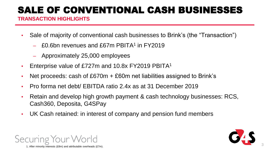#### **TRANSACTION HIGHLIGHTS**

- Sale of majority of conventional cash businesses to Brink's (the "Transaction")
	- £0.6bn revenues and £67m PBITA<sup>1</sup> in FY2019
	- ‒ Approximately 25,000 employees
- Enterprise value of £727m and 10.8x FY2019 PBITA<sup>1</sup>
- Net proceeds: cash of  $£670m + £60m$  net liabilities assigned to Brink's
- Pro forma net debt/ EBITDA ratio 2.4x as at 31 December 2019
- Retain and develop high growth payment & cash technology businesses: RCS, Cash360, Deposita, G4SPay
- UK Cash retained: in interest of company and pension fund members



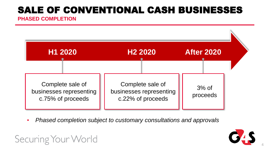**PHASED COMPLETION**

Securing Your World



▪ *Phased completion subject to customary consultations and approvals*



4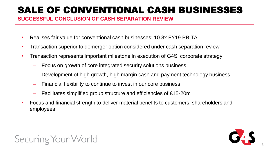**SUCCESSFUL CONCLUSION OF CASH SEPARATION REVIEW**

- Realises fair value for conventional cash businesses: 10.8x FY19 PBITA
- Transaction superior to demerger option considered under cash separation review
- Transaction represents important milestone in execution of G4S' corporate strategy
	- ‒ Focus on growth of core integrated security solutions business
	- Development of high growth, high margin cash and payment technology business
	- ‒ Financial flexibility to continue to invest in our core business
	- ‒ Facilitates simplified group structure and efficiencies of £15-20m
- Focus and financial strength to deliver material benefits to customers, shareholders and employees



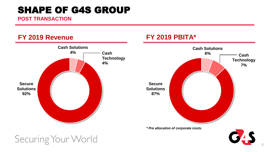#### SHAPE OF G4S GROUP

**POST TRANSACTION**

#### **FY 2019 Revenue**



**FY 2019 PBITA\*** 

## Securing Your World

CAS